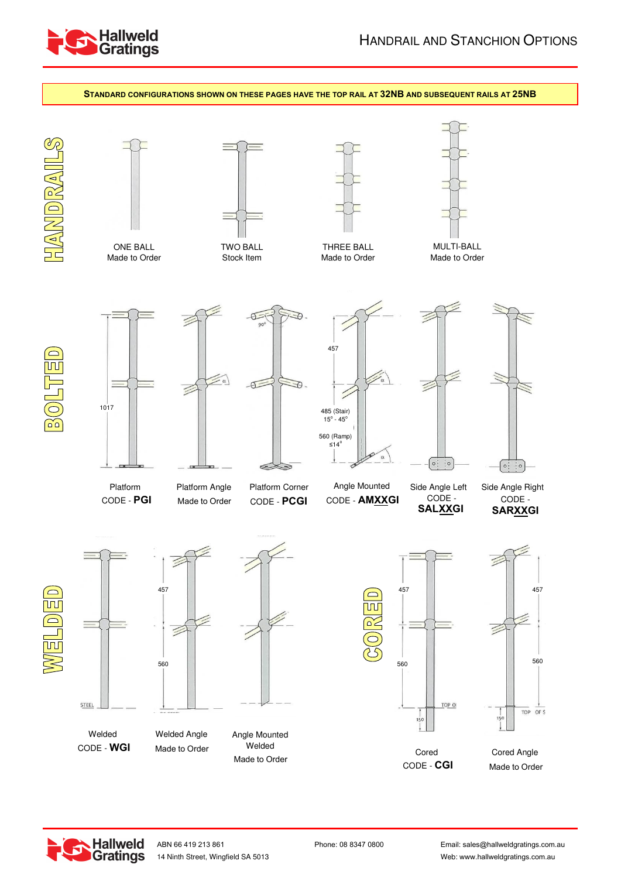



**Hallweld Gratings** 

Email: sales@hallweldgratings.com.au Web: www.hallweldgratings.com.au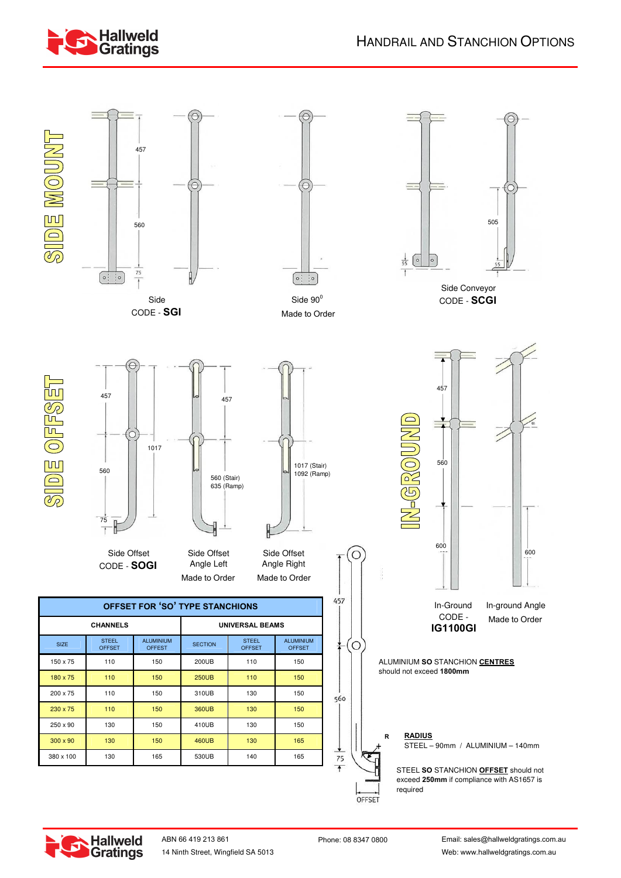